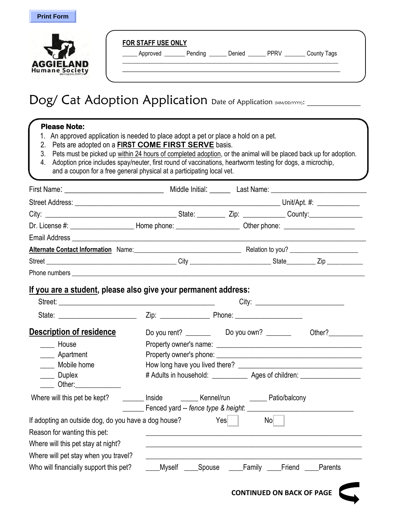

|                  | Approved | Pending | Denied | <b>PPRV</b> | <b>County Tags</b> |
|------------------|----------|---------|--------|-------------|--------------------|
|                  |          |         |        |             |                    |
| <b>AGGIELAND</b> |          |         |        |             |                    |
| Humane Society   |          |         |        |             |                    |

## $\textsf{Dog}/\textsf{Cat}$  Adoption Application  $_{\textsf{Date of Application} \textsf{MMDD} / \textsf{MMDD} / \textsf{MMDD}}$

## **Please Note:** 1. An approved application is needed to place adopt a pet or place a hold on a pet. 2. Pets are adopted on a **FIRST COME FIRST SERVE** basis. 3. Pets must be picked up within 24 hours of completed adoption, or the animal will be placed back up for adoption. 4. Adoption price includes spay/neuter, first round of vaccinations, heartworm testing for dogs, a microchip, and a coupon for a free general physical at a participating local vet. First Name: The Communication of the Middle Initial: The Last Name: Last Name:  $\blacksquare$ Street Address: \_\_\_\_\_\_\_\_\_\_\_\_\_\_\_\_\_\_\_\_\_\_\_\_\_\_\_\_\_\_\_\_\_\_\_\_\_\_\_\_\_\_\_\_\_\_\_\_\_\_\_\_\_\_\_\_\_\_ Unit/Apt. #: \_\_\_\_\_\_\_\_\_\_\_\_ City: \_\_\_\_\_\_\_\_\_\_\_\_\_\_\_\_\_\_\_\_\_\_\_\_\_\_\_\_\_\_\_\_\_\_\_\_\_ State: \_\_\_\_\_\_\_\_ Zip: \_\_\_\_\_\_\_\_\_\_\_\_ County:\_\_\_\_\_\_\_\_\_\_\_\_\_\_\_ Dr. License #: \_\_\_\_\_\_\_\_\_\_\_\_\_\_\_\_\_\_\_\_\_\_\_\_\_\_Home phone: \_\_\_\_\_\_\_\_\_\_\_\_\_\_\_\_\_\_\_\_\_\_\_\_\_\_\_ Other phone: \_\_\_\_\_\_\_\_\_\_\_\_\_\_\_\_\_ Email Address \_\_\_\_\_\_\_\_\_\_\_\_\_\_\_\_\_\_\_\_\_\_\_\_\_\_\_\_\_\_\_\_\_\_\_\_\_\_\_\_\_\_\_\_\_\_\_\_\_\_\_\_\_\_\_\_\_\_\_\_\_\_\_\_\_\_\_\_\_\_\_\_\_\_\_\_\_\_\_\_\_\_\_ Alternate Contact Information Name: Mannell Contact Information Name: Nelation to you? \_\_\_\_\_\_\_\_\_\_\_\_\_\_\_\_\_\_\_\_\_\_\_ Street \_\_\_\_\_\_\_\_\_\_\_\_\_\_\_\_\_\_\_\_\_\_\_\_\_\_\_\_\_\_\_\_\_\_\_\_\_\_\_\_ City \_\_\_\_\_\_\_\_\_\_\_\_\_\_\_\_\_\_\_\_\_\_\_\_\_ State\_\_\_\_\_\_\_\_\_ Zip \_\_\_\_\_\_\_\_\_\_\_ Phone numbers **and the set of the set of the set of the set of the set of the set of the set of the set of the set of the set of the set of the set of the set of the set of the set of the set of the set of the set of the s If you are a student, please also give your permanent address:** Street: \_\_\_\_\_\_\_\_\_\_\_\_\_\_\_\_\_\_\_\_\_\_\_\_\_\_\_\_\_\_\_\_\_\_\_\_\_\_\_\_\_\_\_\_ City: \_\_\_\_\_\_\_\_\_\_\_\_\_\_\_\_\_\_\_\_\_\_\_\_\_ State: \_\_\_\_\_\_\_\_\_\_\_\_\_\_\_\_\_\_\_\_\_\_ Zip: \_\_\_\_\_\_\_\_\_\_\_\_\_\_ Phone: \_\_\_\_\_\_\_\_\_\_\_\_\_\_\_\_\_\_\_ **Description of residence** Do you rent? \_\_\_\_\_\_\_\_ Do you own? \_\_\_\_\_\_\_ Other?\_\_\_\_\_\_\_ \_\_\_\_ House Property owner's name: \_\_\_\_\_\_\_\_\_\_\_\_\_\_\_\_\_\_\_\_\_\_\_\_\_\_\_\_\_\_\_\_\_\_\_\_\_\_\_\_\_ Apartment example Property owner's phone:  $\Box$ \_\_\_\_\_\_\_ Mobile home home how long have you lived there? \_\_\_\_\_\_\_\_\_\_\_\_\_\_\_\_\_\_\_\_\_\_\_\_ Duplex # Adults in household: Ages of children:  $Other:$ Where will this pet be kept? \_\_\_\_\_\_\_\_ Inside \_\_\_\_\_\_\_ Kennel/run \_\_\_\_\_\_\_ Patio/balcony \_\_\_\_\_\_ Fenced yard -- *fence type & height*: \_\_\_\_\_\_\_\_\_\_\_\_\_\_\_\_\_\_\_\_\_\_\_\_\_\_\_\_\_\_ If adopting an outside dog, do you have a dog house? Yes No Reason for wanting this pet: Where will this pet stay at night? Where will pet stay when you travel? Who will financially support this pet? \_\_\_\_Myself \_\_\_\_Spouse \_\_\_\_Family \_\_\_\_Friend \_\_\_\_Parents